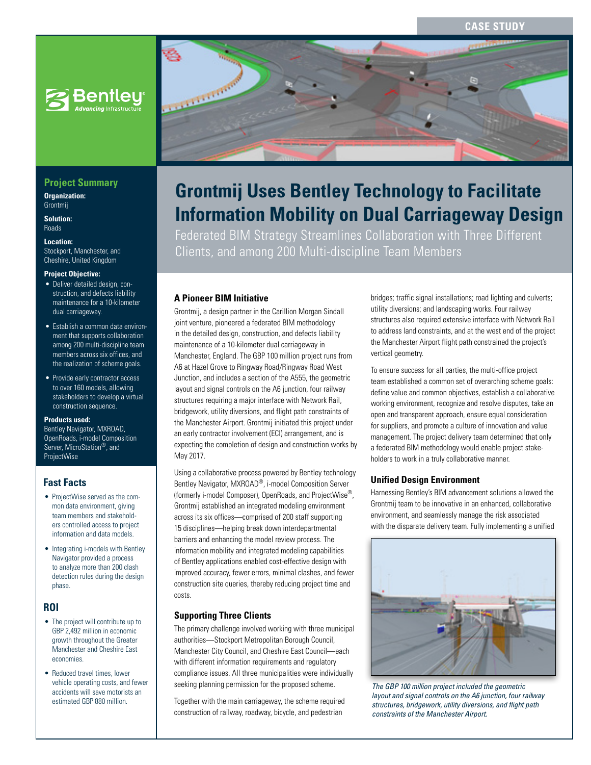#### **CASE STUDY**



## **Project Summary**

**Organization:**  Grontmij

**Solution:**  Roads

**Location:** 

Stockport, Manchester, and Cheshire, United Kingdom

#### **Project Objective:**

- Deliver detailed design, construction, and defects liability maintenance for a 10-kilometer dual carriageway.
- Establish a common data environment that supports collaboration among 200 multi-discipline team members across six offices, and the realization of scheme goals.
- Provide early contractor access to over 160 models, allowing stakeholders to develop a virtual construction sequence.

#### **Products used:**

Bentley Navigator, MXROAD, OpenRoads, i-model Composition Server, MicroStation<sup>®</sup>, and ProjectWise

## **Fast Facts**

- ProjectWise served as the common data environment, giving team members and stakeholders controlled access to project information and data models.
- Integrating i-models with Bentley Navigator provided a process to analyze more than 200 clash detection rules during the design phase.

## **ROI**

- The project will contribute up to GBP 2,492 million in economic growth throughout the Greater Manchester and Cheshire East economies.
- Reduced travel times, lower vehicle operating costs, and fewer accidents will save motorists an estimated GBP 880 million.



# **Grontmij Uses Bentley Technology to Facilitate Information Mobility on Dual Carriageway Design**

Federated BIM Strategy Streamlines Collaboration with Three Different Clients, and among 200 Multi-discipline Team Members

## **A Pioneer BIM Initiative**

Grontmij, a design partner in the Carillion Morgan Sindall joint venture, pioneered a federated BIM methodology in the detailed design, construction, and defects liability maintenance of a 10-kilometer dual carriageway in Manchester, England. The GBP 100 million project runs from A6 at Hazel Grove to Ringway Road/Ringway Road West Junction, and includes a section of the A555, the geometric layout and signal controls on the A6 junction, four railway structures requiring a major interface with Network Rail, bridgework, utility diversions, and flight path constraints of the Manchester Airport. Grontmij initiated this project under an early contractor involvement (ECI) arrangement, and is expecting the completion of design and construction works by May 2017.

Using a collaborative process powered by Bentley technology Bentley Navigator, MXROAD®, i-model Composition Server (formerly i-model Composer), OpenRoads, and ProjectWise®, Grontmij established an integrated modeling environment across its six offices—comprised of 200 staff supporting 15 disciplines—helping break down interdepartmental barriers and enhancing the model review process. The information mobility and integrated modeling capabilities of Bentley applications enabled cost-effective design with improved accuracy, fewer errors, minimal clashes, and fewer construction site queries, thereby reducing project time and costs.

## **Supporting Three Clients**

The primary challenge involved working with three municipal authorities—Stockport Metropolitan Borough Council, Manchester City Council, and Cheshire East Council—each with different information requirements and regulatory compliance issues. All three municipalities were individually seeking planning permission for the proposed scheme.

Together with the main carriageway, the scheme required construction of railway, roadway, bicycle, and pedestrian

bridges; traffic signal installations; road lighting and culverts; utility diversions; and landscaping works. Four railway structures also required extensive interface with Network Rail to address land constraints, and at the west end of the project the Manchester Airport flight path constrained the project's vertical geometry.

To ensure success for all parties, the multi-office project team established a common set of overarching scheme goals: define value and common objectives, establish a collaborative working environment, recognize and resolve disputes, take an open and transparent approach, ensure equal consideration for suppliers, and promote a culture of innovation and value management. The project delivery team determined that only a federated BIM methodology would enable project stakeholders to work in a truly collaborative manner.

## **Unified Design Environment**

Harnessing Bentley's BIM advancement solutions allowed the Grontmij team to be innovative in an enhanced, collaborative environment, and seamlessly manage the risk associated with the disparate delivery team. Fully implementing a unified



*The GBP 100 million project included the geometric layout and signal controls on the A6 junction, four railway structures, bridgework, utility diversions, and flight path constraints of the Manchester Airport.*